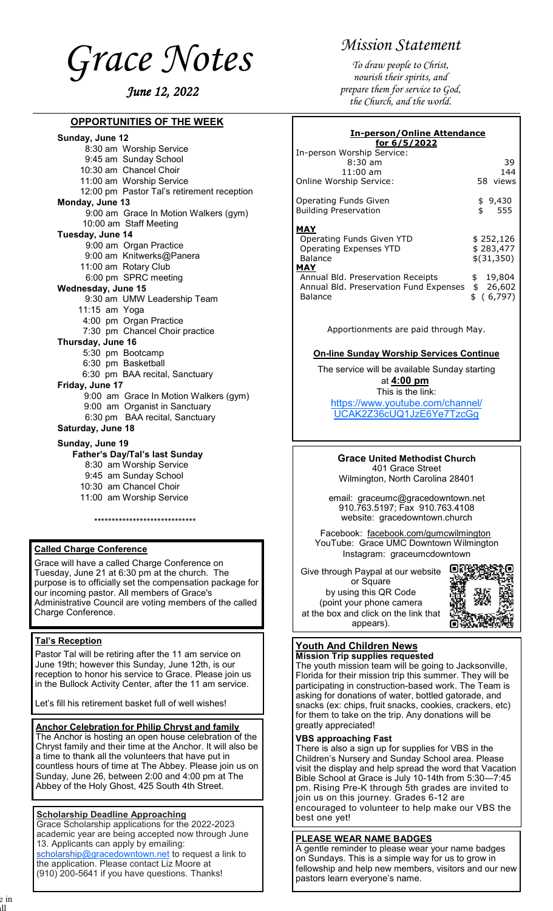<span id="page-0-0"></span>

## **OPPORTUNITIES OF THE WEEK**

| <u>UNIUMINU UN</u>                                  |  |  |
|-----------------------------------------------------|--|--|
| Sunday, June 12                                     |  |  |
| 8:30 am Worship Service                             |  |  |
| 9:45 am Sunday School                               |  |  |
| 10:30 am Chancel Choir                              |  |  |
| 11:00 am Worship Service                            |  |  |
| 12:00 pm Pastor Tal's retirement reception          |  |  |
| Monday, June 13                                     |  |  |
| 9:00 am Grace In Motion Walkers (gym)               |  |  |
| 10:00 am Staff Meeting                              |  |  |
| Tuesday, June 14                                    |  |  |
| 9:00 am Organ Practice                              |  |  |
| 9:00 am Knitwerks@Panera                            |  |  |
| 11:00 am Rotary Club                                |  |  |
| 6:00 pm SPRC meeting                                |  |  |
| Wednesday, June 15                                  |  |  |
| 9:30 am UMW Leadership Team                         |  |  |
| 11:15 am Yoga                                       |  |  |
| 4:00 pm Organ Practice                              |  |  |
| 7:30 pm Chancel Choir practice                      |  |  |
| Thursday, June 16                                   |  |  |
| 5:30 pm Bootcamp                                    |  |  |
| 6:30 pm Basketball                                  |  |  |
| 6:30 pm BAA recital, Sanctuary                      |  |  |
| Friday, June 17                                     |  |  |
| 9:00 am Grace In Motion Walkers (gym)               |  |  |
| 9:00 am Organist in Sanctuary                       |  |  |
| 6:30 pm BAA recital, Sanctuary<br>Saturday, June 18 |  |  |
|                                                     |  |  |
| Sunday, June 19                                     |  |  |
| Father's Day/Tal's last Sunday                      |  |  |
| 0.20 am Warahin Cangoo                              |  |  |

- 8:30 am Worship Service
- 9:45 am Sunday School
- 10:30 am Chancel Choir
- 11:00 am Worship Service

\*\*\*\*\*\*\*\*\*\*\*\*\*\*\*\*\*\*\*\*\*\*\*\*\*\*\*\*\*

### **Called Charge Conference**

Grace will have a called Charge Conference on Tuesday, June 21 at 6:30 pm at the church. The purpose is to officially set the compensation package for our incoming pastor. All members of Grace's Administrative Council are voting members of the called Charge Conference.

#### **Tal's Reception**

Pastor Tal will be retiring after the 11 am service on June 19th; however this Sunday, June 12th, is our reception to honor his service to Grace. Please join us in the Bullock Activity Center, after the 11 am service.

Let's fill his retirement basket full of well wishes!

#### **Anchor Celebration for Philip Chryst and family**

The Anchor is hosting an open house celebration of the Chryst family and their time at the Anchor. It will also be a time to thank all the volunteers that have put in countless hours of time at The Abbey. Please join us on Sunday, June 26, between 2:00 and 4:00 pm at The Abbey of the Holy Ghost, 425 South 4th Street.

## **Scholarship Deadline Approaching**

Grace Scholarship applications for the 2022-2023 academic year are being accepted now through June 13. Applicants can apply by emailing: [scholarship@gracedowntown.net](mailto:scholarship@gracedowntown.net) to request a link to the application. Please contact Liz Moore at

(910) 200-5641 if you have questions. Thanks!

# *Mission Statement*

*To draw people to Christ, nourish their spirits, and prepare them for service to God, the Church, and the world.*

| <b>In-person/Online Attendance</b><br>for 6/5/2022                                     |                                        |  |
|----------------------------------------------------------------------------------------|----------------------------------------|--|
| In-person Worship Service:<br>$8:30$ am<br>$11:00$ am<br>Online Worship Service:       | 39<br>144<br>58 views                  |  |
| <b>Operating Funds Given</b><br><b>Building Preservation</b>                           | \$9,430<br>\$<br>- 555                 |  |
| MAY<br>Operating Funds Given YTD<br>Operating Expenses YTD<br>Balance<br>MAY           | \$252,126<br>\$283,477<br>$$$ (31,350) |  |
| Annual Bld. Preservation Receipts<br>Annual Bld. Preservation Fund Expenses<br>Balance | 19,804<br>\$<br>\$26,602<br>\$ (6,797) |  |

Apportionments are paid through May.

#### **On-line Sunday Worship Services Continue**

The service will be available Sunday starting at **4:00 pm**

This is the link: [https://www.youtube.com/channel/](#page-0-0) [UCAK2Z36cUQ1JzE6Ye7TzcGg](#page-0-0)

**Grace United Methodist Church** 401 Grace Street Wilmington, North Carolina 28401

email: graceumc@gracedowntown.net 910.763.5197; Fax 910.763.4108 website: gracedowntown.church

Facebook: [facebook.com/gumcwilmington](http://facebook.com/gumcwilmington) YouTube: Grace UMC Downtown Wilmington Instagram: graceumcdowntown

Give through Paypal at our website or Square by using this QR Code (point your phone camera at the box and click on the link that appears).



#### **Youth And Children News Mission Trip supplies requested**

The youth mission team will be going to Jacksonville, Florida for their mission trip this summer. They will be participating in construction-based work. The Team is asking for donations of water, bottled gatorade, and snacks (ex: chips, fruit snacks, cookies, crackers, etc) for them to take on the trip. Any donations will be greatly appreciated!

### **VBS approaching Fast**

There is also a sign up for supplies for VBS in the Children's Nursery and Sunday School area. Please visit the display and help spread the word that Vacation Bible School at Grace is July 10-14th from 5:30—7:45 pm. Rising Pre-K through 5th grades are invited to join us on this journey. Grades 6-12 are encouraged to volunteer to help make our VBS the best one yet!

#### **PLEASE WEAR NAME BADGES**

A gentle reminder to please wear your name badges on Sundays. This is a simple way for us to grow in fellowship and help new members, visitors and our new pastors learn everyone's name.